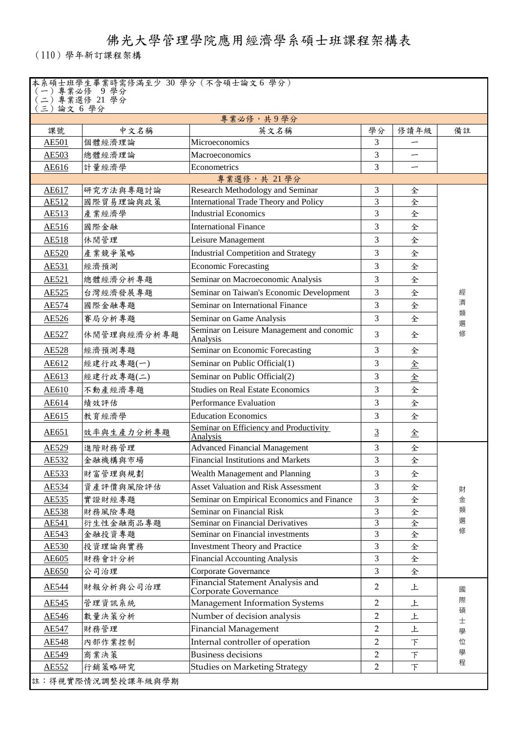佛光大學管理學院應用經濟學系碩士班課程架構表

(110)學年新訂課程架構

| 本系碩士班學生畢業時需修滿至少 30 學分(不含碩士論文6 學分) |  |  |  |
|-----------------------------------|--|--|--|
|-----------------------------------|--|--|--|

| )專業必修 9學分   |  |
|-------------|--|
| )專業選修 21 學分 |  |

|              | り ハ ~ ワ<br>三)論文 6 學分 |                                                          |                |                          |        |
|--------------|----------------------|----------------------------------------------------------|----------------|--------------------------|--------|
|              |                      | 專業必修,共9學分                                                |                |                          |        |
| 課號           | 中文名稱                 | 英文名稱                                                     | 學分             | 修讀年級                     | 備註     |
| <b>AE501</b> | 個體經濟理論               | Microeconomics                                           | 3              |                          |        |
| <b>AE503</b> | 總體經濟理論               | Macroeconomics                                           | 3              |                          |        |
| AE616        | 計量經濟學                | Econometrics                                             | 3              | $\overline{\phantom{0}}$ |        |
|              |                      | 專業選修,共 21學分                                              |                |                          |        |
| AE617        | 研究方法與專題討論            | Research Methodology and Seminar                         | 3              | 全                        |        |
| AE512        | 國際貿易理論與政策            | <b>International Trade Theory and Policy</b>             | 3              | 全                        |        |
| AE513        | 產業經濟學                | <b>Industrial Economics</b>                              | 3              | 全                        |        |
| AE516        | 國際金融                 | <b>International Finance</b>                             | 3              | 全                        |        |
| AE518        | 休閒管理                 | Leisure Management                                       | 3              | 全                        |        |
| AE520        | 產業競爭策略               | <b>Industrial Competition and Strategy</b>               | $\overline{3}$ | 全                        |        |
| AE531        | 經濟預測                 | <b>Economic Forecasting</b>                              | 3              | 全                        |        |
| <b>AE521</b> | 總體經濟分析專題             | Seminar on Macroeconomic Analysis                        | 3              | 全                        |        |
| AE525        | 台灣經濟發展專題             | Seminar on Taiwan's Economic Development                 | 3              | 全                        | 經      |
| <b>AE574</b> | 國際金融專題               | Seminar on International Finance                         | 3              | 全                        | 濟      |
| AE526        | 賽局分析專題               | Seminar on Game Analysis                                 | 3              | 全                        | 類<br>選 |
| AE527        | 休閒管理與經濟分析專題          | Seminar on Leisure Management and conomic<br>Analysis    | 3              | 全                        | 修      |
| <b>AE528</b> | 經濟預測專題               | Seminar on Economic Forecasting                          | 3              | 全                        |        |
| AE612        | 經建行政專題(一)            | Seminar on Public Official(1)                            | 3              | 全                        |        |
| AE613        | 經建行政專題(二)            | Seminar on Public Official(2)                            | 3              | 全                        |        |
| AE610        | 不動產經濟專題              | <b>Studies on Real Estate Economics</b>                  | 3              | 全                        |        |
| <b>AE614</b> | 績效評估                 | Performance Evaluation                                   | 3              | 全                        |        |
| AE615        | 教育經濟學                | <b>Education Economics</b>                               | 3              | 全                        |        |
| AE651        | 效率與生產力分析專題           | Seminar on Efficiency and Productivity<br>Analysis       | $\overline{3}$ | 全                        |        |
| AE529        | 進階財務管理               | <b>Advanced Financial Management</b>                     | 3              | 全                        |        |
| AE532        | 金融機構與市場              | <b>Financial Institutions and Markets</b>                | 3              | 全                        |        |
| AE533        | 財富管理與規劃              | Wealth Management and Planning                           | 3              | 全                        |        |
| AE534        | 資產評價與風險評估            | <b>Asset Valuation and Risk Assessment</b>               | 3              | 全                        |        |
| AE535        | 實證財經專題               | Seminar on Empirical Economics and Finance               | 3              | 全                        | 財<br>金 |
| AE538        | 財務風險專題               | Seminar on Financial Risk                                | 3              | 全                        | 類      |
| AE541        | 衍生性金融商品專題            | Seminar on Financial Derivatives                         | $\overline{3}$ | 全                        | 選      |
| AE543        | 金融投資專題               | Seminar on Financial investments                         | 3              | 全                        | 修      |
| AE530        | 投資理論與實務              | <b>Investment Theory and Practice</b>                    | 3              | 全                        |        |
| AE605        | 財務會計分析               | <b>Financial Accounting Analysis</b>                     | 3              | 全                        |        |
| <b>AE650</b> | 公司治理                 | Corporate Governance                                     | 3              | 全                        |        |
| AE544        | 財報分析與公司治理            | Financial Statement Analysis and<br>Corporate Governance | $\overline{2}$ | 上                        | 國      |
| AE545        | 管理資訊系統               | Management Information Systems                           | $\overline{2}$ | 上                        | 際      |
| AE546        | 數量決策分析               | Number of decision analysis                              | $\overline{2}$ | 上                        | 碩      |
| <b>AE547</b> | 財務管理                 | <b>Financial Management</b>                              | $\overline{2}$ | 上                        | 士<br>學 |
| <b>AE548</b> | 內部作業控制               | Internal controller of operation                         | $\overline{2}$ | F                        | 位      |
| <b>AE549</b> | 商業決策                 | <b>Business decisions</b>                                | $\overline{2}$ | F                        | 學      |
| AE552        | 行銷策略研究               | <b>Studies on Marketing Strategy</b>                     | $\overline{2}$ | F                        | 程      |
|              | 註:得視實際情況調整授課年級與學期    |                                                          |                |                          |        |
|              |                      |                                                          |                |                          |        |